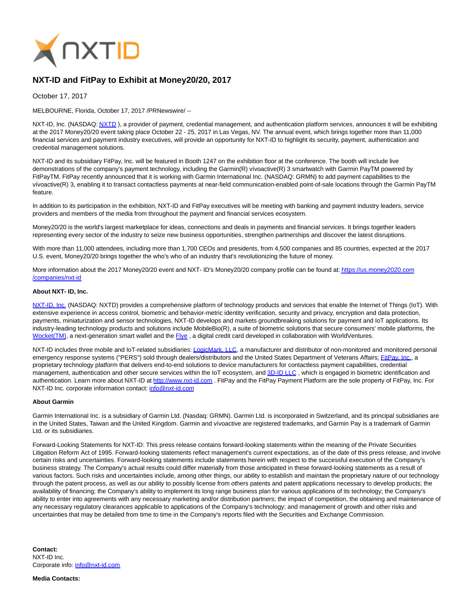

## **NXT-ID and FitPay to Exhibit at Money20/20, 2017**

October 17, 2017

MELBOURNE, Florida, October 17, 2017 /PRNewswire/ --

NXT-ID, Inc. (NASDAQ: NXTD), a provider of payment, credential management, and authentication platform services, announces it will be exhibiting at the 2017 Money20/20 event taking place October 22 - 25, 2017 in Las Vegas, NV. The annual event, which brings together more than 11,000 financial services and payment industry executives, will provide an opportunity for NXT-ID to highlight its security, payment, authentication and credential management solutions.

NXT-ID and its subsidiary FitPay, Inc. will be featured in Booth 1247 on the exhibition floor at the conference. The booth will include live demonstrations of the company's payment technology, including the Garmin(R) vívoactive(R) 3 smartwatch with Garmin PayTM powered by FitPayTM. FitPay recently announced that it is working with Garmin International Inc. (NASDAQ: GRMN) to add payment capabilities to the vívoactive(R) 3, enabling it to transact contactless payments at near-field communication-enabled point-of-sale locations through the Garmin PayTM feature.

In addition to its participation in the exhibition, NXT-ID and FitPay executives will be meeting with banking and payment industry leaders, service providers and members of the media from throughout the payment and financial services ecosystem.

Money20/20 is the world's largest marketplace for ideas, connections and deals in payments and financial services. It brings together leaders representing every sector of the industry to seize new business opportunities, strengthen partnerships and discover the latest disruptions.

With more than 11,000 attendees, including more than 1,700 CEOs and presidents, from 4,500 companies and 85 countries, expected at the 2017 U.S. event, Money20/20 brings together the who's who of an industry that's revolutionizing the future of money.

More information about the 2017 Money20/20 event and NXT- ID's Money20/20 company profile can be found at[: https://us.money2020.com](https://us.money2020.com/companies/nxt-id) /companies/nxt-id

## **About NXT- ID, Inc.**

[NXT-ID, Inc. \(](http://www.nxt-id.com/)NASDAQ: NXTD) provides a comprehensive platform of technology products and services that enable the Internet of Things (IoT). With extensive experience in access control, biometric and behavior-metric identity verification, security and privacy, encryption and data protection, payments, miniaturization and sensor technologies, NXT-ID develops and markets groundbreaking solutions for payment and IoT applications. Its industry-leading technology products and solutions include MobileBio(R), a suite of biometric solutions that secure consumers' mobile platforms, the [Wocket\(TM\),](https://wocketwallet.com/) a next-generation smart wallet and the Flye, a digital credit card developed in collaboration with WorldVentures.

NXT-ID includes three mobile and IoT-related subsidiaries[: LogicMark, LLC,](https://www.logicmark.com/) a manufacturer and distributor of non-monitored and monitored personal emergency response systems ("PERS") sold through dealers/distributors and the United States Department of Veterans Affairs[; FitPay, Inc.,](http://www.fit-pay.com/) a proprietary technology platform that delivers end-to-end solutions to device manufacturers for contactless payment capabilities, credential management, authentication and other secure services within the IoT ecosystem, and 3D-ID LLC, which is engaged in biometric identification and authentication. Learn more about NXT-ID at [http://www.nxt-id.com .](http://www.nxt-id.com/) FitPay and the FitPay Payment Platform are the sole property of FitPay, Inc. For NXT-ID Inc. corporate information contact: [info@nxt-id.com](mailto:info@nxt-id.com)

## **About Garmin**

Garmin International Inc. is a subsidiary of Garmin Ltd. (Nasdaq: GRMN). Garmin Ltd. is incorporated in Switzerland, and its principal subsidiaries are in the United States, Taiwan and the United Kingdom. Garmin and vívoactive are registered trademarks, and Garmin Pay is a trademark of Garmin Ltd. or its subsidiaries.

Forward-Looking Statements for NXT-ID: This press release contains forward-looking statements within the meaning of the Private Securities Litigation Reform Act of 1995. Forward-looking statements reflect management's current expectations, as of the date of this press release, and involve certain risks and uncertainties. Forward-looking statements include statements herein with respect to the successful execution of the Company's business strategy. The Company's actual results could differ materially from those anticipated in these forward-looking statements as a result of various factors. Such risks and uncertainties include, among other things, our ability to establish and maintain the proprietary nature of our technology through the patent process, as well as our ability to possibly license from others patents and patent applications necessary to develop products; the availability of financing; the Company's ability to implement its long range business plan for various applications of its technology; the Company's ability to enter into agreements with any necessary marketing and/or distribution partners; the impact of competition, the obtaining and maintenance of any necessary regulatory clearances applicable to applications of the Company's technology; and management of growth and other risks and uncertainties that may be detailed from time to time in the Company's reports filed with the Securities and Exchange Commission.

**Contact:** NXT-ID Inc. Corporate info: [info@nxt-id.com](mailto:info@nxt-id.com)

**Media Contacts:**